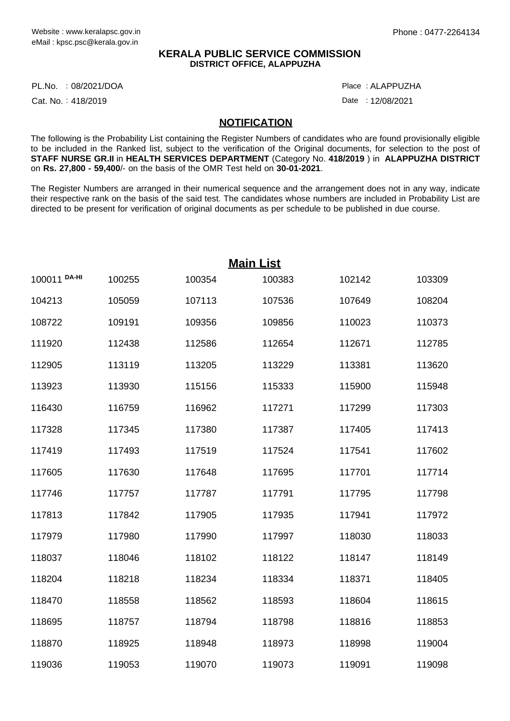## **KERALA PUBLIC SERVICE COMMISSION DISTRICT OFFICE, ALAPPUZHA**

PL.No. :08/2021/DOA Place

Cat. No.: 418/2019

ALAPPUZHA :

Date: 12/08/2021

## **NOTIFICATION**

The following is the Probability List containing the Register Numbers of candidates who are found provisionally eligible to be included in the Ranked list, subject to the verification of the Original documents, for selection to the post of **STAFF NURSE GR.II** in **HEALTH SERVICES DEPARTMENT** (Category No. **418/2019** ) in **ALAPPUZHA DISTRICT** on **Rs. 27,800 - 59,400**/- on the basis of the OMR Test held on **30-01-2021**.

The Register Numbers are arranged in their numerical sequence and the arrangement does not in any way, indicate their respective rank on the basis of the said test. The candidates whose numbers are included in Probability List are directed to be present for verification of original documents as per schedule to be published in due course.

| <b>Main List</b> |        |        |        |        |        |  |  |  |
|------------------|--------|--------|--------|--------|--------|--|--|--|
| 100011 DA-HI     | 100255 | 100354 | 100383 | 102142 | 103309 |  |  |  |
| 104213           | 105059 | 107113 | 107536 | 107649 | 108204 |  |  |  |
| 108722           | 109191 | 109356 | 109856 | 110023 | 110373 |  |  |  |
| 111920           | 112438 | 112586 | 112654 | 112671 | 112785 |  |  |  |
| 112905           | 113119 | 113205 | 113229 | 113381 | 113620 |  |  |  |
| 113923           | 113930 | 115156 | 115333 | 115900 | 115948 |  |  |  |
| 116430           | 116759 | 116962 | 117271 | 117299 | 117303 |  |  |  |
| 117328           | 117345 | 117380 | 117387 | 117405 | 117413 |  |  |  |
| 117419           | 117493 | 117519 | 117524 | 117541 | 117602 |  |  |  |
| 117605           | 117630 | 117648 | 117695 | 117701 | 117714 |  |  |  |
| 117746           | 117757 | 117787 | 117791 | 117795 | 117798 |  |  |  |
| 117813           | 117842 | 117905 | 117935 | 117941 | 117972 |  |  |  |
| 117979           | 117980 | 117990 | 117997 | 118030 | 118033 |  |  |  |
| 118037           | 118046 | 118102 | 118122 | 118147 | 118149 |  |  |  |
| 118204           | 118218 | 118234 | 118334 | 118371 | 118405 |  |  |  |
| 118470           | 118558 | 118562 | 118593 | 118604 | 118615 |  |  |  |
| 118695           | 118757 | 118794 | 118798 | 118816 | 118853 |  |  |  |
| 118870           | 118925 | 118948 | 118973 | 118998 | 119004 |  |  |  |
| 119036           | 119053 | 119070 | 119073 | 119091 | 119098 |  |  |  |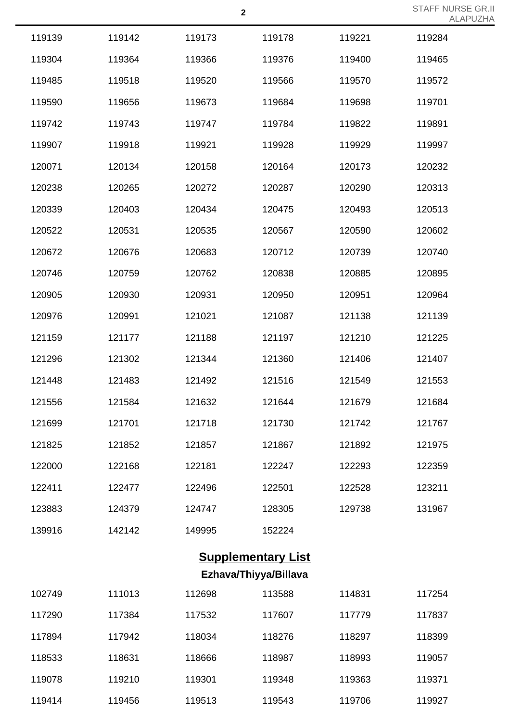| 119139 | 119142 | 119173 | 119178 | 119221 | 119284 |
|--------|--------|--------|--------|--------|--------|
| 119304 | 119364 | 119366 | 119376 | 119400 | 119465 |
| 119485 | 119518 | 119520 | 119566 | 119570 | 119572 |
| 119590 | 119656 | 119673 | 119684 | 119698 | 119701 |
| 119742 | 119743 | 119747 | 119784 | 119822 | 119891 |
| 119907 | 119918 | 119921 | 119928 | 119929 | 119997 |
| 120071 | 120134 | 120158 | 120164 | 120173 | 120232 |
| 120238 | 120265 | 120272 | 120287 | 120290 | 120313 |
| 120339 | 120403 | 120434 | 120475 | 120493 | 120513 |
| 120522 | 120531 | 120535 | 120567 | 120590 | 120602 |
| 120672 | 120676 | 120683 | 120712 | 120739 | 120740 |
| 120746 | 120759 | 120762 | 120838 | 120885 | 120895 |
| 120905 | 120930 | 120931 | 120950 | 120951 | 120964 |
| 120976 | 120991 | 121021 | 121087 | 121138 | 121139 |
| 121159 | 121177 | 121188 | 121197 | 121210 | 121225 |
| 121296 | 121302 | 121344 | 121360 | 121406 | 121407 |
| 121448 | 121483 | 121492 | 121516 | 121549 | 121553 |
| 121556 | 121584 | 121632 | 121644 | 121679 | 121684 |
| 121699 | 121701 | 121718 | 121730 | 121742 | 121767 |
| 121825 | 121852 | 121857 | 121867 | 121892 | 121975 |
| 122000 | 122168 | 122181 | 122247 | 122293 | 122359 |
| 122411 | 122477 | 122496 | 122501 | 122528 | 123211 |
| 123883 | 124379 | 124747 | 128305 | 129738 | 131967 |
| 139916 | 142142 | 149995 | 152224 |        |        |
|        |        |        |        |        |        |

## **Supplementary List Ezhava/Thiyya/Billava**

| 102749 | 111013 | 112698 | 113588 | 114831 | 117254 |
|--------|--------|--------|--------|--------|--------|
| 117290 | 117384 | 117532 | 117607 | 117779 | 117837 |
| 117894 | 117942 | 118034 | 118276 | 118297 | 118399 |
| 118533 | 118631 | 118666 | 118987 | 118993 | 119057 |
| 119078 | 119210 | 119301 | 119348 | 119363 | 119371 |
| 119414 | 119456 | 119513 | 119543 | 119706 | 119927 |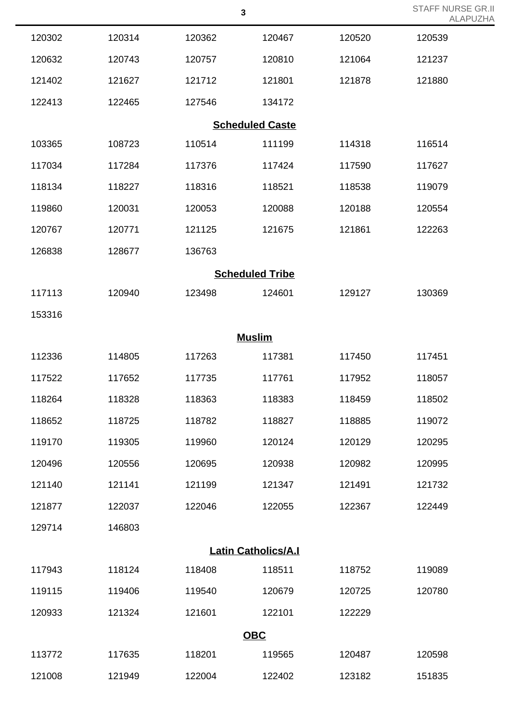|                            |        |        | 3                      |        | <b>ALAPUZHA</b> |  |  |
|----------------------------|--------|--------|------------------------|--------|-----------------|--|--|
| 120302                     | 120314 | 120362 | 120467                 | 120520 | 120539          |  |  |
| 120632                     | 120743 | 120757 | 120810                 | 121064 | 121237          |  |  |
| 121402                     | 121627 | 121712 | 121801                 | 121878 | 121880          |  |  |
| 122413                     | 122465 | 127546 | 134172                 |        |                 |  |  |
|                            |        |        | <b>Scheduled Caste</b> |        |                 |  |  |
| 103365                     | 108723 | 110514 | 111199                 | 114318 | 116514          |  |  |
| 117034                     | 117284 | 117376 | 117424                 | 117590 | 117627          |  |  |
| 118134                     | 118227 | 118316 | 118521                 | 118538 | 119079          |  |  |
| 119860                     | 120031 | 120053 | 120088                 | 120188 | 120554          |  |  |
| 120767                     | 120771 | 121125 | 121675                 | 121861 | 122263          |  |  |
| 126838                     | 128677 | 136763 |                        |        |                 |  |  |
|                            |        |        | <b>Scheduled Tribe</b> |        |                 |  |  |
| 117113                     | 120940 | 123498 | 124601                 | 129127 | 130369          |  |  |
| 153316                     |        |        |                        |        |                 |  |  |
|                            |        |        | <b>Muslim</b>          |        |                 |  |  |
| 112336                     | 114805 | 117263 | 117381                 | 117450 | 117451          |  |  |
| 117522                     | 117652 | 117735 | 117761                 | 117952 | 118057          |  |  |
| 118264                     | 118328 | 118363 | 118383                 | 118459 | 118502          |  |  |
| 118652                     | 118725 | 118782 | 118827                 | 118885 | 119072          |  |  |
| 119170                     | 119305 | 119960 | 120124                 | 120129 | 120295          |  |  |
| 120496                     | 120556 | 120695 | 120938                 | 120982 | 120995          |  |  |
| 121140                     | 121141 | 121199 | 121347                 | 121491 | 121732          |  |  |
| 121877                     | 122037 | 122046 | 122055                 | 122367 | 122449          |  |  |
| 129714                     | 146803 |        |                        |        |                 |  |  |
| <b>Latin Catholics/A.I</b> |        |        |                        |        |                 |  |  |
| 117943                     | 118124 | 118408 | 118511                 | 118752 | 119089          |  |  |
| 119115                     | 119406 | 119540 | 120679                 | 120725 | 120780          |  |  |
| 120933                     | 121324 | 121601 | 122101                 | 122229 |                 |  |  |
| <b>OBC</b>                 |        |        |                        |        |                 |  |  |
| 113772                     | 117635 | 118201 | 119565                 | 120487 | 120598          |  |  |
| 121008                     | 121949 | 122004 | 122402                 | 123182 | 151835          |  |  |

STAFF NURSE GR.II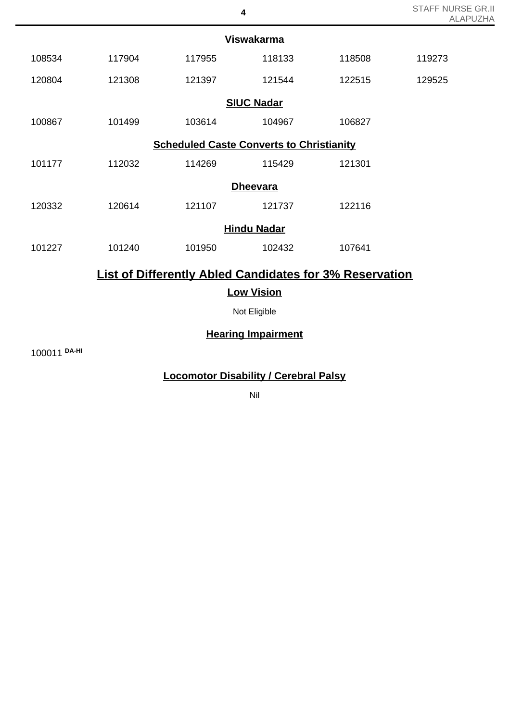|                                                                |        |        | <b>Viswakarma</b>  |        |        |  |  |  |
|----------------------------------------------------------------|--------|--------|--------------------|--------|--------|--|--|--|
| 108534                                                         | 117904 | 117955 | 118133             | 118508 | 119273 |  |  |  |
| 120804                                                         | 121308 | 121397 | 121544             | 122515 | 129525 |  |  |  |
|                                                                |        |        | <b>SIUC Nadar</b>  |        |        |  |  |  |
| 100867                                                         | 101499 | 103614 | 104967             | 106827 |        |  |  |  |
| <b>Scheduled Caste Converts to Christianity</b>                |        |        |                    |        |        |  |  |  |
| 101177                                                         | 112032 | 114269 | 115429             | 121301 |        |  |  |  |
|                                                                |        |        | <b>Dheevara</b>    |        |        |  |  |  |
| 120332                                                         | 120614 | 121107 | 121737             | 122116 |        |  |  |  |
|                                                                |        |        | <b>Hindu Nadar</b> |        |        |  |  |  |
| 101227                                                         | 101240 | 101950 | 102432             | 107641 |        |  |  |  |
| <b>List of Differently Abled Candidates for 3% Reservation</b> |        |        |                    |        |        |  |  |  |
|                                                                |        |        | <b>Low Vision</b>  |        |        |  |  |  |
|                                                                |        |        |                    |        |        |  |  |  |

Not Eligible

## **Hearing Impairment**

100011 **DA-HI**

**Locomotor Disability / Cerebral Palsy**

Nil